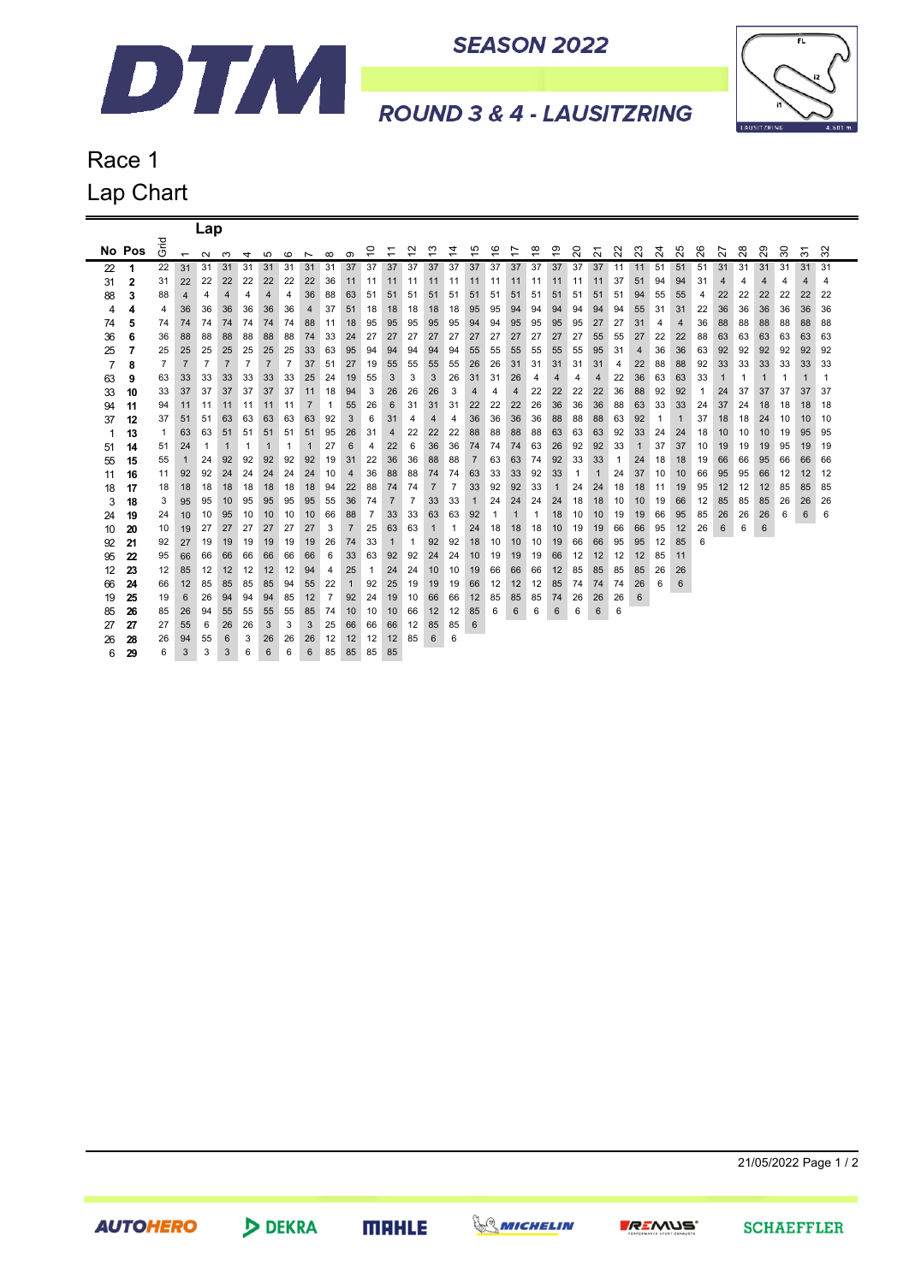

**SEASON 2022** 



**ROUND 3 & 4 - LAUSITZRING** 

## Race 1 Lap Chart

|         |          |                |                | Lap            |                |                |                |                |                          |                |                |                |                               |                |                |                |                |                         |              |    |              |    |        |    |         |         |             |    |                |              |                |              |                               |             |
|---------|----------|----------------|----------------|----------------|----------------|----------------|----------------|----------------|--------------------------|----------------|----------------|----------------|-------------------------------|----------------|----------------|----------------|----------------|-------------------------|--------------|----|--------------|----|--------|----|---------|---------|-------------|----|----------------|--------------|----------------|--------------|-------------------------------|-------------|
|         | No Pos   | 은<br>O         | $\overline{ }$ | $\sim$         | ო              | 4              | ഹ              | $\circ$        | $\overline{\phantom{0}}$ | $\infty$       | $\sigma$       | S              | ٣<br>$\overline{\phantom{0}}$ | 5              | ల్ల            | 4              | 45             | $\overset{\circ}{\tau}$ | 7            | ္¤ | ဒ္           | 20 | $\sim$ | 22 | $^{23}$ | $^{24}$ | 5<br>$\sim$ | 26 | 27             | 28           | 29             | 30           | $\overline{\phantom{0}}$<br>ო | $\sim$<br>ო |
| 22      | 1        | 22             | 31             | 31             | 31             | 31             | 31             | 31             | 31                       | 31             | 37             | 37             | 37                            | 37             | 37             | 37             | 37             | 37                      | 37           | 37 | 37           | 37 | 37     | 11 | 11      | 51      | 51          | 51 | 31             | 31           | 31             | -31          | 31                            | 31          |
| 31      | 2        | 31             | 22             | 22             | 22             | 22             | 22             | 22             | 22                       | 36             | 11             | 11             | 11                            | 11             | 11             | 11             | 11             | 11                      | 11           | 11 | 11           | 11 | 11     | 37 | 51      | 94      | 94          | 31 | 4              | 4            | 4              | 4            | 4                             | 4           |
| 88      | 3        | 88             | 4              | 4              | 4              | 4              | $\overline{4}$ | 4              | 36                       | 88             | 63             | 51             | 51                            | 51             | 51             | 51             | 51             | 51                      | 51           | 51 | 51           | 51 | 51     | 51 | 94      | 55      | 55          | 4  | 22             | 22           | 22             | 22           | 22                            | 22          |
| 4       | 4        | 4              | 36             | 36             | 36             | 36             | 36             | 36             | 4                        | 37             | 51             | 18             | 18                            | 18             | 18             | 18             | 95             | 95                      | 94           | 94 | 94           | 94 | 94     | 94 | 55      | 31      | 31          | 22 | 36             | 36           | 36             | 36           | 36                            | 36          |
| 74      | 5        | 74             | 74             | 74             | 74             | 74             | 74             | 74             | 88                       | 11             | 18             | 95             | 95                            | 95             | 95             | 95             | 94             | 94                      | 95           | 95 | 95           | 95 | 27     | 27 | 31      | 4       | 4           | 36 | 88             | 88           | 88             | 88           | 88                            | 88          |
| 36      | 6        | 36             | 88             | 88             | 88             | 88             | 88             | 88             | 74                       | 33             | 24             | 27             | 27                            | 27             | 27             | 27             | 27             | 27                      | 27           | 27 | 27           | 27 | 55     | 55 | 27      | 22      | 22          | 88 | 63             | 63           | 63             | 63           | 63                            | 63          |
| 25      | 7        | 25             | 25             | 25             | 25             | 25             | 25             | 25             | 33                       | 63             | 95             | 94             | 94                            | 94             | 94             | 94             | 55             | 55                      | 55           | 55 | 55           | 55 | 95     | 31 | 4       | 36      | 36          | 63 | 92             | 92           | 92             | 92           | 92                            | 92          |
| 7       | 8        | $\overline{7}$ | $\overline{7}$ | $\overline{7}$ | $\overline{7}$ | $\overline{7}$ | $\overline{7}$ | $\overline{7}$ | 37                       | 51             | 27             | 19             | 55                            | 55             | 55             | 55             | 26             | 26                      | 31           | 31 | 31           | 31 | 31     | 4  | 22      | 88      | 88          | 92 | 33             | 33           | 33             | 33           | 33                            | 33          |
| 63      | 9        | 63             | 33             | 33             | 33             | 33             | 33             | 33             | 25                       | 24             | 19             | 55             | 3                             | 3              | 3              | 26             | 31             | 31                      | 26           | 4  | 4            | 4  | 4      | 22 | 36      | 63      | 63          | 33 | $\overline{1}$ | $\mathbf{1}$ | $\overline{1}$ | $\mathbf{1}$ | $\mathbf 1$                   | 1           |
| 33      | 10       | 33             | 37             | 37             | 37             | 37             | 37             | 37             | 11                       | 18             | 94             | 3              | 26                            | 26             | 26             | 3              | 4              | 4                       | 4            | 22 | 22           | 22 | 22     | 36 | 88      | 92      | 92          | 1  | 24             | 37           | 37             | 37           | 37                            | 37          |
| 94      | 11       | 94             | 11             | 11             | 11             | -11            | 11             | -11            | 7                        | -1             | 55             | 26             | 6                             | 31             | 31             | 31             | 22             | 22                      | 22           | 26 | 36           | 36 | 36     | 88 | 63      | 33      | 33          | 24 | 37             | 24           | 18             | 18           | 18                            | 18          |
| 37      | 12       | 37             | 51             | 51             | 63             | 63             | 63             | 63             | 63                       | 92             | 3              | 6              | 31                            | 4              | 4              | 4              | 36             | 36                      | 36           | 36 | 88           | 88 | 88     | 63 | 92      | 1       | $\mathbf 1$ | 37 | 18             | 18           | 24             | 10           | 10                            | 10          |
|         | 13       | $\mathbf{1}$   | 63             | 63             | 51             | 51             | 51             | 51             | 51                       | 95             | 26             | 31             | $\overline{4}$                | 22             | 22             | 22             | 88             | 88                      | 88           | 88 | 63           | 63 | 63     | 92 | 33      | 24      | 24          | 18 | 10             | 10           | 10             | 19           | 95                            | 95          |
| 51      | 14       | 51             | 24             | 1              | $\mathbf{1}$   | 1              | 1              | $\mathbf{1}$   | $\mathbf{1}$             | 27             | 6              | 4              | 22                            | 6              | 36             | 36             | 74             | 74                      | 74           | 63 | 26           | 92 | 92     | 33 | 1       | 37      | 37          | 10 | 19             | 19           | 19             | 95           | 19                            | 19          |
| 55      | 15       | 55             | $\mathbf{1}$   | 24             | 92             | 92             | 92             | 92             | 92                       | 19             | 31             | 22             | 36                            | 36             | 88             | 88             | $\overline{7}$ | 63                      | 63           | 74 | 92           | 33 | 33     | -1 | 24      | 18      | 18          | 19 | 66             | 66           | 95             | 66           | 66                            | 66          |
| 11      | 16       | 11             | 92             | 92             | 24             | 24             | 24             | 24             | 24                       | 10             | 4              | 36             | 88                            | 88             | 74             | 74             | 63             | 33                      | 33           | 92 | 33           | 1  | 1      | 24 | 37      | 10      | 10          | 66 | 95             | 95           | 66             | 12           | 12                            | 12          |
| 18      | 17       | 18             | 18             | 18             | 18             | 18             | 18             | 18             | 18                       | 94             | 22             | 88             | 74                            | 74             | $\overline{7}$ | $\overline{7}$ | 33             | 92                      | 92           | 33 | $\mathbf{1}$ | 24 | 24     | 18 | 18      | 11      | 19          | 95 | 12             | 12           | 12             | 85           | 85                            | 85          |
| 3       | 18       | 3              | 95             | 95             | 10             | 95             | 95             | 95             | 95                       | 55             | 36             | 74             | $\overline{7}$                | $\overline{7}$ | 33             | 33             | $\mathbf{1}$   | 24                      | 24           | 24 | 24           | 18 | 18     | 10 | 10      | 19      | 66          | 12 | 85             | 85           | 85             | 26           | 26                            | 26          |
| 24      | 19       | 24             | 10             | 10             | 95             | 10             | 10             | 10             | 10                       | 66             | 88             | $\overline{7}$ | 33                            | 33             | 63             | 63             | 92             | $\mathbf{1}$            | $\mathbf{1}$ | 1  | 18           | 10 | 10     | 19 | 19      | 66      | 95          | 85 | 26             | 26           | 26             | 6            | 6                             | 6           |
| 10      | 20       | 10             | 19             | 27             | 27             | 27             | 27             | 27             | 27                       | 3              | $\overline{7}$ | 25             | 63                            | 63             | $\mathbf{1}$   | $\mathbf{1}$   | 24             | 18                      | 18           | 18 | 10           | 19 | 19     | 66 | 66      | 95      | 12          | 26 | 6              | 6            | 6              |              |                               |             |
| 92      | 21       | 92             | 27             | 19             | 19             | 19             | 19             | 19             | 19                       | 26             | 74             | 33             | $\mathbf{1}$                  | $\mathbf{1}$   | 92             | 92             | 18             | 10                      | 10           | 10 | 19           | 66 | 66     | 95 | 95      | 12      | 85          | 6  |                |              |                |              |                               |             |
| 95      | 22       | 95             | 66             | 66             | 66             | 66             | 66             | 66             | 66                       | 6              | 33             | 63             | 92                            | 92             | 24             | 24             | 10             | 19                      | 19           | 19 | 66           | 12 | 12     | 12 | 12      | 85      | 11          |    |                |              |                |              |                               |             |
| 12      | 23       | 12             | 85             | 12             | 12             | 12             | 12             | 12             | 94                       | 4              | 25             | $\overline{1}$ | 24                            | 24             | 10             | 10             | 19             | 66                      | 66           | 66 | 12           | 85 | 85     | 85 | 85      | 26      | 26          |    |                |              |                |              |                               |             |
| 66      | 24       | 66             | 12             | 85             | 85             | 85             | 85             | 94             | 55                       | 22             | $\mathbf{1}$   | 92             | 25                            | 19             | 19             | 19             | 66             | 12                      | 12           | 12 | 85           | 74 | 74     | 74 | 26      | 6       | 6           |    |                |              |                |              |                               |             |
| 19      | 25       | 19             | 6              | 26             | 94             | 94             | 94             | 85             | 12                       | $\overline{7}$ | 92             | 24             | 19                            | 10             | 66             | 66             | 12             | 85                      | 85           | 85 | 74           | 26 | 26     | 26 | 6       |         |             |    |                |              |                |              |                               |             |
| 85      | 26       | 85             | 26             | 94             | 55             | 55             | 55             | 55             | 85                       | 74             | 10             | 10             | 10                            | 66             | 12             | 12             | 85             | 6                       | 6            | 6  | 6            | 6  | 6      | 6  |         |         |             |    |                |              |                |              |                               |             |
| 27      | 27       | 27             | 55             | 6              | 26             | 26             | 3              | 3              | 3                        | 25             | 66             | 66             | 66                            | 12             | 85             | 85             | 6              |                         |              |    |              |    |        |    |         |         |             |    |                |              |                |              |                               |             |
| 26<br>6 | 28<br>29 | 26<br>6        | 94<br>3        | 55<br>3        | 6<br>3         | 3<br>6         | 26<br>6        | 26<br>6        | 26<br>6                  | 12<br>85       | 12<br>85       | 12<br>85       | 12<br>85                      | 85             | 6              | 6              |                |                         |              |    |              |    |        |    |         |         |             |    |                |              |                |              |                               |             |
|         |          |                |                |                |                |                |                |                |                          |                |                |                |                               |                |                |                |                |                         |              |    |              |    |        |    |         |         |             |    |                |              |                |              |                               |             |